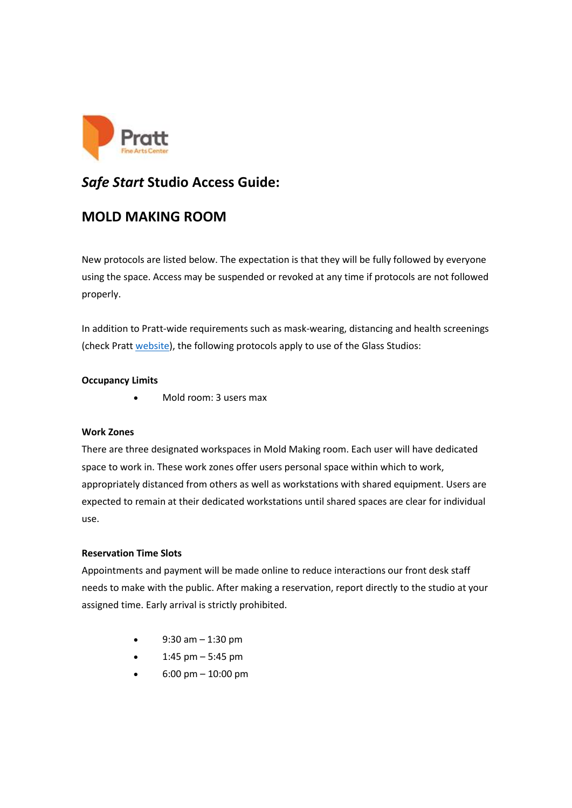

# *Safe Start* **Studio Access Guide:**

# **MOLD MAKING ROOM**

New protocols are listed below. The expectation is that they will be fully followed by everyone using the space. Access may be suspended or revoked at any time if protocols are not followed properly.

In addition to Pratt-wide requirements such as mask-wearing, distancing and health screenings (check Pratt [website\)](https://www.pratt.org/access-info), the following protocols apply to use of the Glass Studios:

## **Occupancy Limits**

• Mold room: 3 users max

### **Work Zones**

There are three designated workspaces in Mold Making room. Each user will have dedicated space to work in. These work zones offer users personal space within which to work, appropriately distanced from others as well as workstations with shared equipment. Users are expected to remain at their dedicated workstations until shared spaces are clear for individual use.

### **Reservation Time Slots**

Appointments and payment will be made online to reduce interactions our front desk staff needs to make with the public. After making a reservation, report directly to the studio at your assigned time. Early arrival is strictly prohibited.

- $\bullet$  9:30 am  $-$  1:30 pm
- 1:45 pm  $-$  5:45 pm
- $6:00 \text{ pm} 10:00 \text{ pm}$